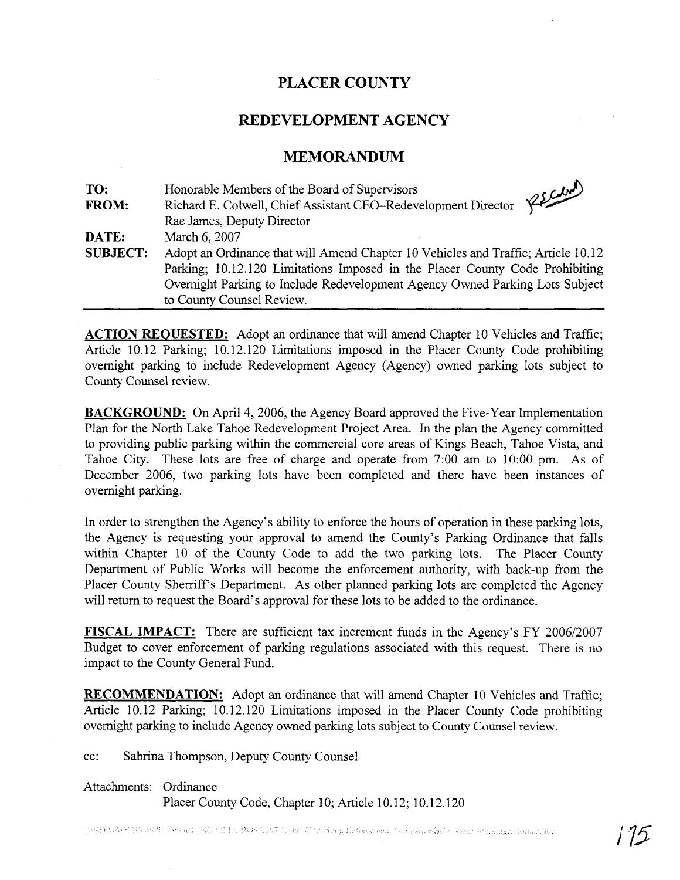# **PLACER COUNTY**

## **REDEVELOPMENT AGENCY**

#### **MEMORANDUM**

| TO:             | Honorable Members of the Board of Supervisors<br>RECOM                                                                                                            |  |  |
|-----------------|-------------------------------------------------------------------------------------------------------------------------------------------------------------------|--|--|
| <b>FROM:</b>    | Richard E. Colwell, Chief Assistant CEO-Redevelopment Director                                                                                                    |  |  |
|                 | Rae James, Deputy Director                                                                                                                                        |  |  |
| DATE:           | March 6, 2007                                                                                                                                                     |  |  |
| <b>SUBJECT:</b> | Adopt an Ordinance that will Amend Chapter 10 Vehicles and Traffic; Article 10.12<br>Parking; 10.12.120 Limitations Imposed in the Placer County Code Prohibiting |  |  |
|                 |                                                                                                                                                                   |  |  |
|                 | Overnight Parking to Include Redevelopment Agency Owned Parking Lots Subject                                                                                      |  |  |
|                 | to County Counsel Review.                                                                                                                                         |  |  |

**ACTION REOUESTED:** Adopt **an** ordinance that will amend Chapter 10 Vehicles and Traffic; Article 10.12 Parking; 10.12.120 Limitations imposed in the Placer County Code prohibiting overnight parking to include Redevelopment Agency (Agency) owned parking lots subject to County Counsel review.

**BACKGROUND:** On April 4, 2006, the Agency Board approved the Five-Year Implementation Plan for the North Lake Tahoe Redevelopment Project Area. In the plan the Agency committed to providing public parking within the commercial core areas of Kings Beach, Tahoe Vista, and Tahoe City. These lots are free of charge and operate from 7:00 am to 10:OO pm. As of December 2006, two parking lots have been completed and there have been instances of overnight parking.

In order to strengthen the Agency's ability to enforce the hours of operation in these parking lots, the Agency is requesting your approval to amend the County's Parking Ordinance that falls within Chapter 10 of the County Code to add the two parking lots. The Placer County Department of Public Works will become the enforcement authority, with back-up from the Placer County Sherriff's Department. As other planned parking lots are completed the Agency will return to request the Board's approval for these lots to be added to the ordinance.

**FISCAL IMPACT:** There are sufficient tax increment funds in the Agency's FY 2006/2007 Budget to cover enforcement of parking regulations associated with this request. There is no impact to the County General Fund.

**RECOMMENDATION:** Adopt an ordinance that will amend Chapter 10 Vehicles and Traffic; Article 10.12 Parking; 10.12.120 Limitations imposed in the Placer County Code prohibiting overnight parking to include Agency owned parking lots subject to County Counsel review.

cc: Sabrina Thompson, Deputy County Counsel

#### Attachments: Ordinance

Placer County Code, Chapter 10; Article 10.12; 10.12.120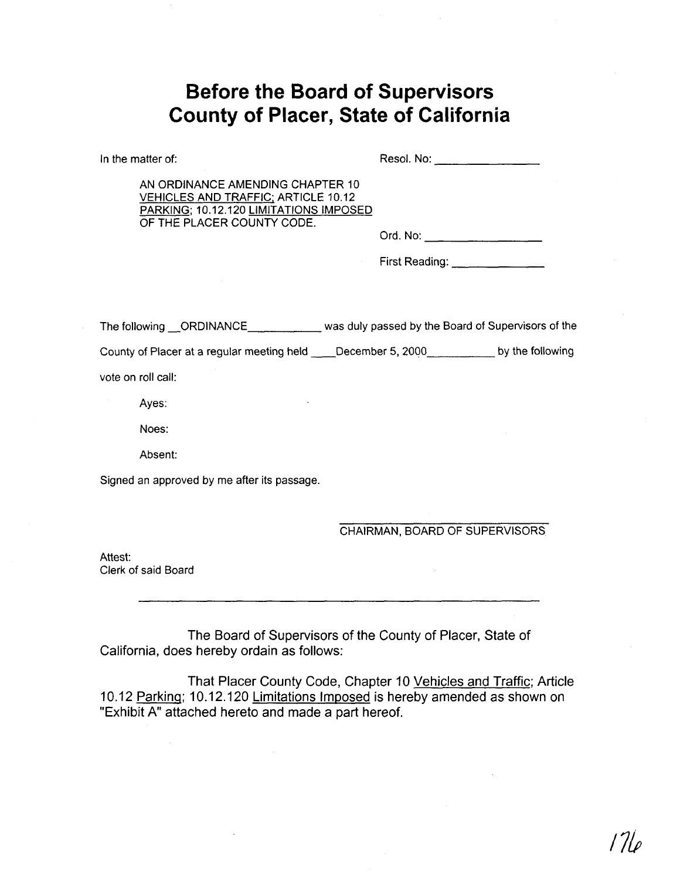# **Before the Board of Supervisors County of Placer, State of California**

In the matter of: Resol. No: Resol. No: Resol. No:

AN ORDINANCE AMENDING CHAPTER 10 VEHICLES AND TRAFFIC; ARTICLE 10.12 PARKING; 10.12.120 LIMITATIONS IMPOSED OF THE PLACER COUNTY CODE.

Ord. No:

First Reading: \_\_\_\_\_\_\_\_\_\_\_\_\_\_\_

The following \_\_ORDINANCE \_\_\_\_\_\_\_\_\_\_\_\_\_\_ was duly passed by the Board of Supervisors of the

County of Placer at a regular meeting held December 5, 2000 by the following

vote on roll call:

Ayes:

Noes:

Absent:

Signed an approved by me after its passage.

CHAIRMAN, BOARD OF SUPERVISORS

Attest: Clerk of said Board

The Board of Supervisors of the County of Placer, State of California, does hereby ordain as follows:

That Placer County Code, Chapter 10 Vehicles and Traffic; Article 10.12 Parking; 10.12.120 Limitations Imposed is hereby amended as shown on "Exhibit A" attached hereto and made a part hereof.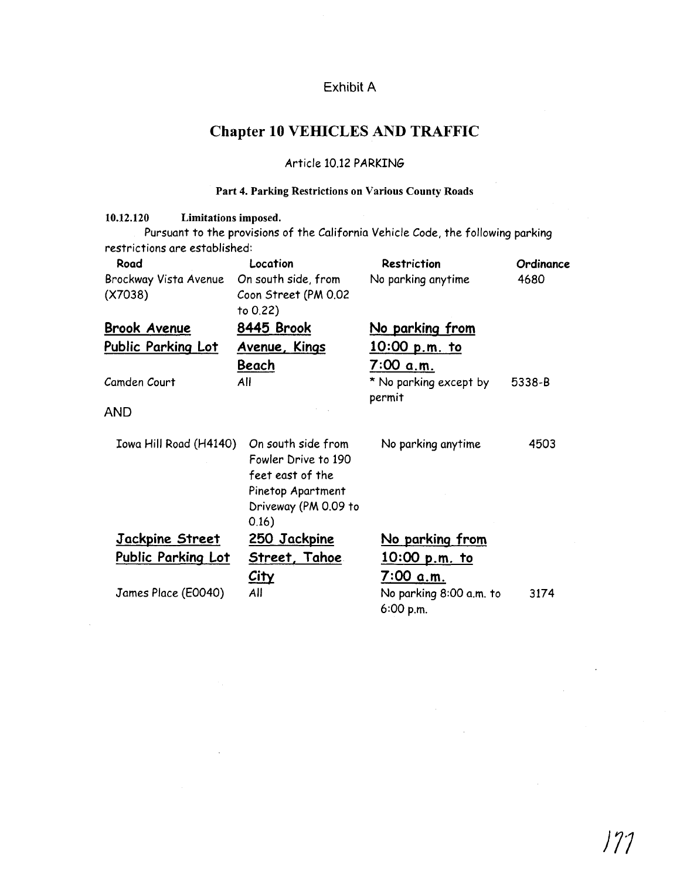# Exhibit A

# **Chapter 10 VEHICLES AND TRAFFIC**

### Article 10.12 PARKING

## **Part 4. Parking Restrictions on Various County Roads**

| 10.12.120<br>Limitations imposed. |                       |                                                                                  |           |
|-----------------------------------|-----------------------|----------------------------------------------------------------------------------|-----------|
|                                   |                       | Pursuant to the provisions of the California Vehicle Code, the following parking |           |
| restrictions are established:     |                       |                                                                                  |           |
| Road                              | Location              | <b>Restriction</b>                                                               | Ordinance |
| Brockway Vista Avenue             | On south side, from   | No parking anytime                                                               | 4680      |
| (X7038)                           | Coon Street (PM 0.02  |                                                                                  |           |
|                                   | to 0.22)              |                                                                                  |           |
| <b>Brook Avenue</b>               | 8445 Brook            | <u>No parking from</u>                                                           |           |
| <b>Public Parking Lot</b>         | Avenue, Kings         | <u>10:00 p.m. to</u>                                                             |           |
|                                   | <b>Beach</b>          | 7:00 a.m.                                                                        |           |
| Camden Court                      | All                   | * No parking except by                                                           | 5338-B    |
|                                   |                       | permit                                                                           |           |
| <b>AND</b>                        |                       |                                                                                  |           |
|                                   | On south side from    |                                                                                  |           |
| Iowa Hill Road (H4140)            | Fowler Drive to 190   | No parking anytime                                                               | 4503      |
|                                   | feet east of the      |                                                                                  |           |
|                                   |                       |                                                                                  |           |
|                                   | Pinetop Apartment     |                                                                                  |           |
|                                   | Driveway (PM 0.09 to  |                                                                                  |           |
|                                   | 0.16)                 |                                                                                  |           |
| <u>Jackpine Street</u>            | <u>250 Jackpine</u>   | No parking from                                                                  |           |
| Public Parking Lot                | <u>Street, Tahoe </u> | 10:00 p.m. to                                                                    |           |
|                                   | <u>City</u>           | 7:00 a.m.                                                                        |           |
| James Place (E0040)               | All                   | No parking 8:00 a.m. to                                                          | 3174      |
|                                   |                       | 6:00 p.m.                                                                        |           |